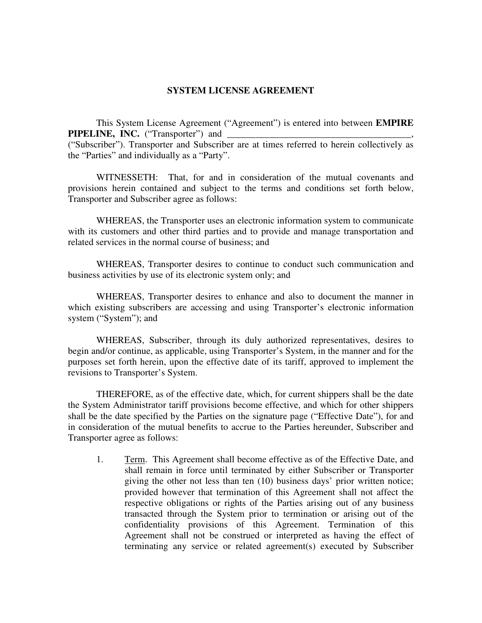## **SYSTEM LICENSE AGREEMENT**

This System License Agreement ("Agreement") is entered into between **EMPIRE PIPELINE, INC.** ("Transporter") and \_\_\_\_\_\_\_\_\_\_\_\_\_\_\_\_\_\_\_\_\_\_\_\_\_\_\_\_\_\_\_\_\_\_\_\_\_\_\_, ("Subscriber"). Transporter and Subscriber are at times referred to herein collectively as the "Parties" and individually as a "Party".

WITNESSETH: That, for and in consideration of the mutual covenants and provisions herein contained and subject to the terms and conditions set forth below, Transporter and Subscriber agree as follows:

WHEREAS, the Transporter uses an electronic information system to communicate with its customers and other third parties and to provide and manage transportation and related services in the normal course of business; and

WHEREAS, Transporter desires to continue to conduct such communication and business activities by use of its electronic system only; and

WHEREAS, Transporter desires to enhance and also to document the manner in which existing subscribers are accessing and using Transporter's electronic information system ("System"); and

WHEREAS, Subscriber, through its duly authorized representatives, desires to begin and/or continue, as applicable, using Transporter's System, in the manner and for the purposes set forth herein, upon the effective date of its tariff, approved to implement the revisions to Transporter's System.

THEREFORE, as of the effective date, which, for current shippers shall be the date the System Administrator tariff provisions become effective, and which for other shippers shall be the date specified by the Parties on the signature page ("Effective Date"), for and in consideration of the mutual benefits to accrue to the Parties hereunder, Subscriber and Transporter agree as follows:

1. Term. This Agreement shall become effective as of the Effective Date, and shall remain in force until terminated by either Subscriber or Transporter giving the other not less than ten (10) business days' prior written notice; provided however that termination of this Agreement shall not affect the respective obligations or rights of the Parties arising out of any business transacted through the System prior to termination or arising out of the confidentiality provisions of this Agreement. Termination of this Agreement shall not be construed or interpreted as having the effect of terminating any service or related agreement(s) executed by Subscriber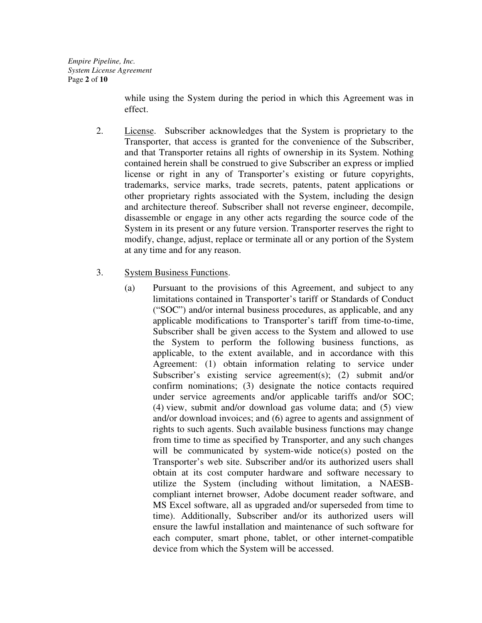*Empire Pipeline, Inc. System License Agreement*  Page **2** of **10**

> while using the System during the period in which this Agreement was in effect.

- 2. License. Subscriber acknowledges that the System is proprietary to the Transporter, that access is granted for the convenience of the Subscriber, and that Transporter retains all rights of ownership in its System. Nothing contained herein shall be construed to give Subscriber an express or implied license or right in any of Transporter's existing or future copyrights, trademarks, service marks, trade secrets, patents, patent applications or other proprietary rights associated with the System, including the design and architecture thereof. Subscriber shall not reverse engineer, decompile, disassemble or engage in any other acts regarding the source code of the System in its present or any future version. Transporter reserves the right to modify, change, adjust, replace or terminate all or any portion of the System at any time and for any reason.
- 3. System Business Functions.
	- (a) Pursuant to the provisions of this Agreement, and subject to any limitations contained in Transporter's tariff or Standards of Conduct ("SOC") and/or internal business procedures, as applicable, and any applicable modifications to Transporter's tariff from time-to-time, Subscriber shall be given access to the System and allowed to use the System to perform the following business functions, as applicable, to the extent available, and in accordance with this Agreement: (1) obtain information relating to service under Subscriber's existing service agreement(s); (2) submit and/or confirm nominations; (3) designate the notice contacts required under service agreements and/or applicable tariffs and/or SOC; (4) view, submit and/or download gas volume data; and (5) view and/or download invoices; and (6) agree to agents and assignment of rights to such agents. Such available business functions may change from time to time as specified by Transporter, and any such changes will be communicated by system-wide notice(s) posted on the Transporter's web site. Subscriber and/or its authorized users shall obtain at its cost computer hardware and software necessary to utilize the System (including without limitation, a NAESBcompliant internet browser, Adobe document reader software, and MS Excel software, all as upgraded and/or superseded from time to time). Additionally, Subscriber and/or its authorized users will ensure the lawful installation and maintenance of such software for each computer, smart phone, tablet, or other internet-compatible device from which the System will be accessed.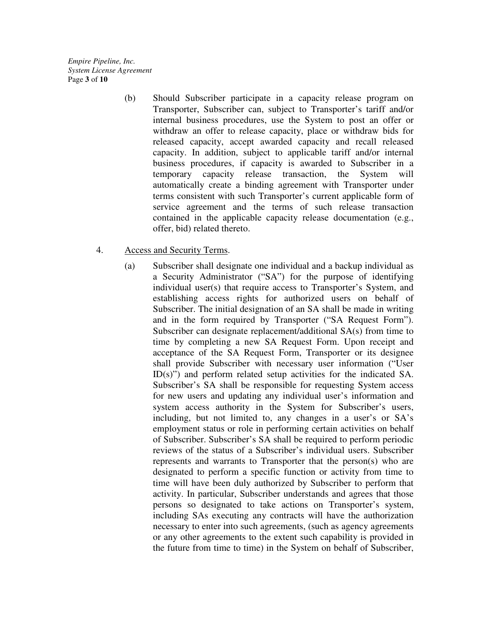*Empire Pipeline, Inc. System License Agreement*  Page **3** of **10**

> (b) Should Subscriber participate in a capacity release program on Transporter, Subscriber can, subject to Transporter's tariff and/or internal business procedures, use the System to post an offer or withdraw an offer to release capacity, place or withdraw bids for released capacity, accept awarded capacity and recall released capacity. In addition, subject to applicable tariff and/or internal business procedures, if capacity is awarded to Subscriber in a temporary capacity release transaction, the System will automatically create a binding agreement with Transporter under terms consistent with such Transporter's current applicable form of service agreement and the terms of such release transaction contained in the applicable capacity release documentation (e.g., offer, bid) related thereto.

#### 4. Access and Security Terms.

(a) Subscriber shall designate one individual and a backup individual as a Security Administrator ("SA") for the purpose of identifying individual user(s) that require access to Transporter's System, and establishing access rights for authorized users on behalf of Subscriber. The initial designation of an SA shall be made in writing and in the form required by Transporter ("SA Request Form"). Subscriber can designate replacement/additional SA(s) from time to time by completing a new SA Request Form. Upon receipt and acceptance of the SA Request Form, Transporter or its designee shall provide Subscriber with necessary user information ("User ID(s)") and perform related setup activities for the indicated SA. Subscriber's SA shall be responsible for requesting System access for new users and updating any individual user's information and system access authority in the System for Subscriber's users, including, but not limited to, any changes in a user's or SA's employment status or role in performing certain activities on behalf of Subscriber. Subscriber's SA shall be required to perform periodic reviews of the status of a Subscriber's individual users. Subscriber represents and warrants to Transporter that the person(s) who are designated to perform a specific function or activity from time to time will have been duly authorized by Subscriber to perform that activity. In particular, Subscriber understands and agrees that those persons so designated to take actions on Transporter's system, including SAs executing any contracts will have the authorization necessary to enter into such agreements, (such as agency agreements or any other agreements to the extent such capability is provided in the future from time to time) in the System on behalf of Subscriber,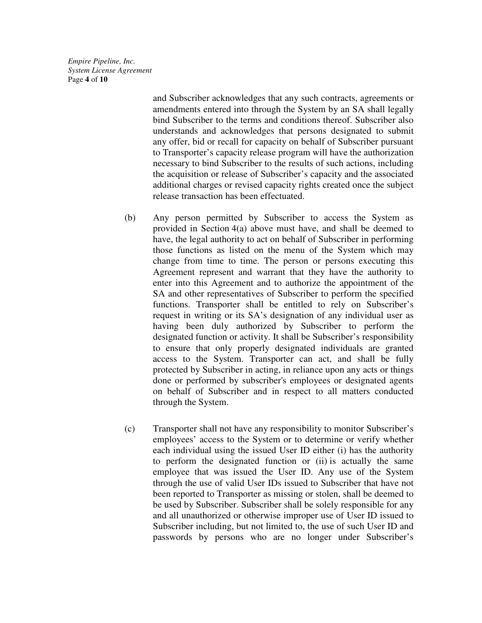*Empire Pipeline, Inc. System License Agreement*  Page **4** of **10**

> and Subscriber acknowledges that any such contracts, agreements or amendments entered into through the System by an SA shall legally bind Subscriber to the terms and conditions thereof. Subscriber also understands and acknowledges that persons designated to submit any offer, bid or recall for capacity on behalf of Subscriber pursuant to Transporter's capacity release program will have the authorization necessary to bind Subscriber to the results of such actions, including the acquisition or release of Subscriber's capacity and the associated additional charges or revised capacity rights created once the subject release transaction has been effectuated.

- (b) Any person permitted by Subscriber to access the System as provided in Section 4(a) above must have, and shall be deemed to have, the legal authority to act on behalf of Subscriber in performing those functions as listed on the menu of the System which may change from time to time. The person or persons executing this Agreement represent and warrant that they have the authority to enter into this Agreement and to authorize the appointment of the SA and other representatives of Subscriber to perform the specified functions. Transporter shall be entitled to rely on Subscriber's request in writing or its SA's designation of any individual user as having been duly authorized by Subscriber to perform the designated function or activity. It shall be Subscriber's responsibility to ensure that only properly designated individuals are granted access to the System. Transporter can act, and shall be fully protected by Subscriber in acting, in reliance upon any acts or things done or performed by subscriber's employees or designated agents on behalf of Subscriber and in respect to all matters conducted through the System.
- (c) Transporter shall not have any responsibility to monitor Subscriber's employees' access to the System or to determine or verify whether each individual using the issued User ID either (i) has the authority to perform the designated function or (ii) is actually the same employee that was issued the User ID. Any use of the System through the use of valid User IDs issued to Subscriber that have not been reported to Transporter as missing or stolen, shall be deemed to be used by Subscriber. Subscriber shall be solely responsible for any and all unauthorized or otherwise improper use of User ID issued to Subscriber including, but not limited to, the use of such User ID and passwords by persons who are no longer under Subscriber's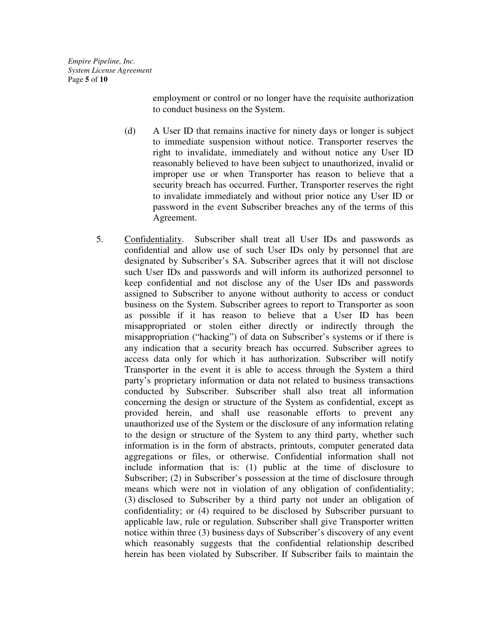*Empire Pipeline, Inc. System License Agreement*  Page **5** of **10**

> employment or control or no longer have the requisite authorization to conduct business on the System.

- (d) A User ID that remains inactive for ninety days or longer is subject to immediate suspension without notice. Transporter reserves the right to invalidate, immediately and without notice any User ID reasonably believed to have been subject to unauthorized, invalid or improper use or when Transporter has reason to believe that a security breach has occurred. Further, Transporter reserves the right to invalidate immediately and without prior notice any User ID or password in the event Subscriber breaches any of the terms of this Agreement.
- 5. Confidentiality. Subscriber shall treat all User IDs and passwords as confidential and allow use of such User IDs only by personnel that are designated by Subscriber's SA. Subscriber agrees that it will not disclose such User IDs and passwords and will inform its authorized personnel to keep confidential and not disclose any of the User IDs and passwords assigned to Subscriber to anyone without authority to access or conduct business on the System. Subscriber agrees to report to Transporter as soon as possible if it has reason to believe that a User ID has been misappropriated or stolen either directly or indirectly through the misappropriation ("hacking") of data on Subscriber's systems or if there is any indication that a security breach has occurred. Subscriber agrees to access data only for which it has authorization. Subscriber will notify Transporter in the event it is able to access through the System a third party's proprietary information or data not related to business transactions conducted by Subscriber. Subscriber shall also treat all information concerning the design or structure of the System as confidential, except as provided herein, and shall use reasonable efforts to prevent any unauthorized use of the System or the disclosure of any information relating to the design or structure of the System to any third party, whether such information is in the form of abstracts, printouts, computer generated data aggregations or files, or otherwise. Confidential information shall not include information that is: (1) public at the time of disclosure to Subscriber; (2) in Subscriber's possession at the time of disclosure through means which were not in violation of any obligation of confidentiality; (3) disclosed to Subscriber by a third party not under an obligation of confidentiality; or (4) required to be disclosed by Subscriber pursuant to applicable law, rule or regulation. Subscriber shall give Transporter written notice within three (3) business days of Subscriber's discovery of any event which reasonably suggests that the confidential relationship described herein has been violated by Subscriber. If Subscriber fails to maintain the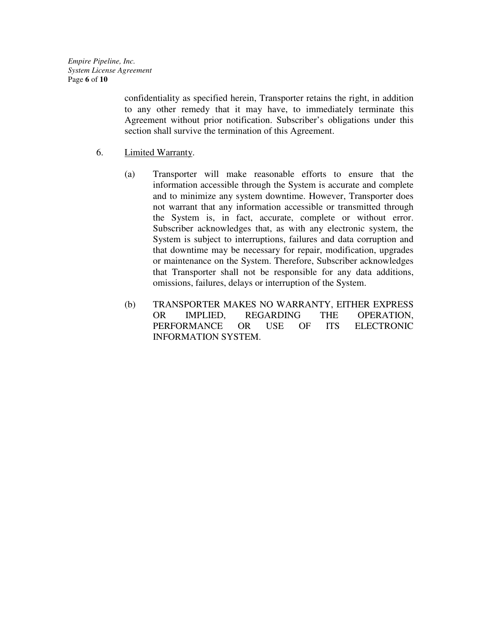*Empire Pipeline, Inc. System License Agreement*  Page **6** of **10**

> confidentiality as specified herein, Transporter retains the right, in addition to any other remedy that it may have, to immediately terminate this Agreement without prior notification. Subscriber's obligations under this section shall survive the termination of this Agreement.

- 6. Limited Warranty.
	- (a) Transporter will make reasonable efforts to ensure that the information accessible through the System is accurate and complete and to minimize any system downtime. However, Transporter does not warrant that any information accessible or transmitted through the System is, in fact, accurate, complete or without error. Subscriber acknowledges that, as with any electronic system, the System is subject to interruptions, failures and data corruption and that downtime may be necessary for repair, modification, upgrades or maintenance on the System. Therefore, Subscriber acknowledges that Transporter shall not be responsible for any data additions, omissions, failures, delays or interruption of the System.
	- (b) TRANSPORTER MAKES NO WARRANTY, EITHER EXPRESS OR IMPLIED, REGARDING THE OPERATION, PERFORMANCE OR USE OF ITS ELECTRONIC INFORMATION SYSTEM.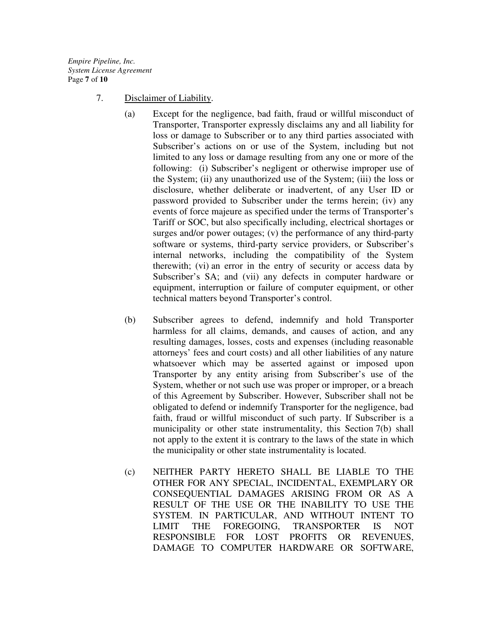*Empire Pipeline, Inc. System License Agreement*  Page **7** of **10**

- 7. Disclaimer of Liability.
	- (a) Except for the negligence, bad faith, fraud or willful misconduct of Transporter, Transporter expressly disclaims any and all liability for loss or damage to Subscriber or to any third parties associated with Subscriber's actions on or use of the System, including but not limited to any loss or damage resulting from any one or more of the following: (i) Subscriber's negligent or otherwise improper use of the System; (ii) any unauthorized use of the System; (iii) the loss or disclosure, whether deliberate or inadvertent, of any User ID or password provided to Subscriber under the terms herein; (iv) any events of force majeure as specified under the terms of Transporter's Tariff or SOC, but also specifically including, electrical shortages or surges and/or power outages; (v) the performance of any third-party software or systems, third-party service providers, or Subscriber's internal networks, including the compatibility of the System therewith; (vi) an error in the entry of security or access data by Subscriber's SA; and (vii) any defects in computer hardware or equipment, interruption or failure of computer equipment, or other technical matters beyond Transporter's control.
	- (b) Subscriber agrees to defend, indemnify and hold Transporter harmless for all claims, demands, and causes of action, and any resulting damages, losses, costs and expenses (including reasonable attorneys' fees and court costs) and all other liabilities of any nature whatsoever which may be asserted against or imposed upon Transporter by any entity arising from Subscriber's use of the System, whether or not such use was proper or improper, or a breach of this Agreement by Subscriber. However, Subscriber shall not be obligated to defend or indemnify Transporter for the negligence, bad faith, fraud or willful misconduct of such party. If Subscriber is a municipality or other state instrumentality, this Section 7(b) shall not apply to the extent it is contrary to the laws of the state in which the municipality or other state instrumentality is located.
	- (c) NEITHER PARTY HERETO SHALL BE LIABLE TO THE OTHER FOR ANY SPECIAL, INCIDENTAL, EXEMPLARY OR CONSEQUENTIAL DAMAGES ARISING FROM OR AS A RESULT OF THE USE OR THE INABILITY TO USE THE SYSTEM. IN PARTICULAR, AND WITHOUT INTENT TO LIMIT THE FOREGOING, TRANSPORTER IS NOT RESPONSIBLE FOR LOST PROFITS OR REVENUES, DAMAGE TO COMPUTER HARDWARE OR SOFTWARE,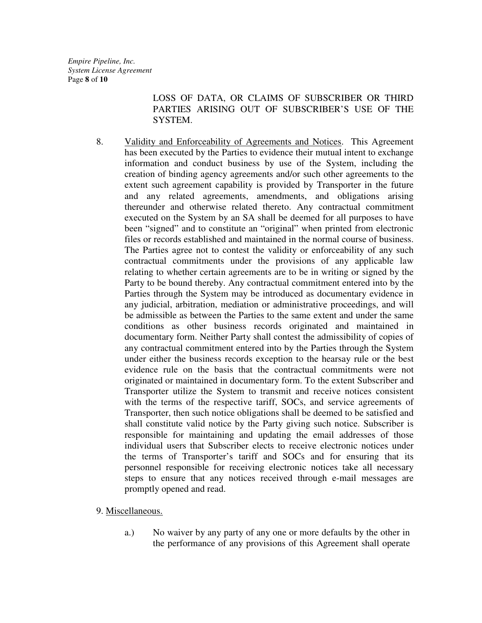LOSS OF DATA, OR CLAIMS OF SUBSCRIBER OR THIRD PARTIES ARISING OUT OF SUBSCRIBER'S USE OF THE SYSTEM.

8. Validity and Enforceability of Agreements and Notices. This Agreement has been executed by the Parties to evidence their mutual intent to exchange information and conduct business by use of the System, including the creation of binding agency agreements and/or such other agreements to the extent such agreement capability is provided by Transporter in the future and any related agreements, amendments, and obligations arising thereunder and otherwise related thereto. Any contractual commitment executed on the System by an SA shall be deemed for all purposes to have been "signed" and to constitute an "original" when printed from electronic files or records established and maintained in the normal course of business. The Parties agree not to contest the validity or enforceability of any such contractual commitments under the provisions of any applicable law relating to whether certain agreements are to be in writing or signed by the Party to be bound thereby. Any contractual commitment entered into by the Parties through the System may be introduced as documentary evidence in any judicial, arbitration, mediation or administrative proceedings, and will be admissible as between the Parties to the same extent and under the same conditions as other business records originated and maintained in documentary form. Neither Party shall contest the admissibility of copies of any contractual commitment entered into by the Parties through the System under either the business records exception to the hearsay rule or the best evidence rule on the basis that the contractual commitments were not originated or maintained in documentary form. To the extent Subscriber and Transporter utilize the System to transmit and receive notices consistent with the terms of the respective tariff, SOCs, and service agreements of Transporter, then such notice obligations shall be deemed to be satisfied and shall constitute valid notice by the Party giving such notice. Subscriber is responsible for maintaining and updating the email addresses of those individual users that Subscriber elects to receive electronic notices under the terms of Transporter's tariff and SOCs and for ensuring that its personnel responsible for receiving electronic notices take all necessary steps to ensure that any notices received through e-mail messages are promptly opened and read.

9. Miscellaneous.

a.) No waiver by any party of any one or more defaults by the other in the performance of any provisions of this Agreement shall operate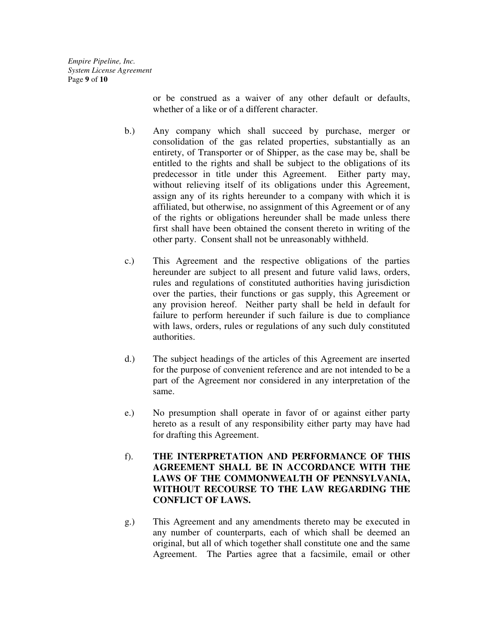*Empire Pipeline, Inc. System License Agreement*  Page **9** of **10**

> or be construed as a waiver of any other default or defaults, whether of a like or of a different character.

- b.) Any company which shall succeed by purchase, merger or consolidation of the gas related properties, substantially as an entirety, of Transporter or of Shipper, as the case may be, shall be entitled to the rights and shall be subject to the obligations of its predecessor in title under this Agreement. Either party may, without relieving itself of its obligations under this Agreement, assign any of its rights hereunder to a company with which it is affiliated, but otherwise, no assignment of this Agreement or of any of the rights or obligations hereunder shall be made unless there first shall have been obtained the consent thereto in writing of the other party. Consent shall not be unreasonably withheld.
- c.) This Agreement and the respective obligations of the parties hereunder are subject to all present and future valid laws, orders, rules and regulations of constituted authorities having jurisdiction over the parties, their functions or gas supply, this Agreement or any provision hereof. Neither party shall be held in default for failure to perform hereunder if such failure is due to compliance with laws, orders, rules or regulations of any such duly constituted authorities.
- d.) The subject headings of the articles of this Agreement are inserted for the purpose of convenient reference and are not intended to be a part of the Agreement nor considered in any interpretation of the same.
- e.) No presumption shall operate in favor of or against either party hereto as a result of any responsibility either party may have had for drafting this Agreement.
- f). **THE INTERPRETATION AND PERFORMANCE OF THIS AGREEMENT SHALL BE IN ACCORDANCE WITH THE LAWS OF THE COMMONWEALTH OF PENNSYLVANIA, WITHOUT RECOURSE TO THE LAW REGARDING THE CONFLICT OF LAWS.**
- g.) This Agreement and any amendments thereto may be executed in any number of counterparts, each of which shall be deemed an original, but all of which together shall constitute one and the same Agreement. The Parties agree that a facsimile, email or other